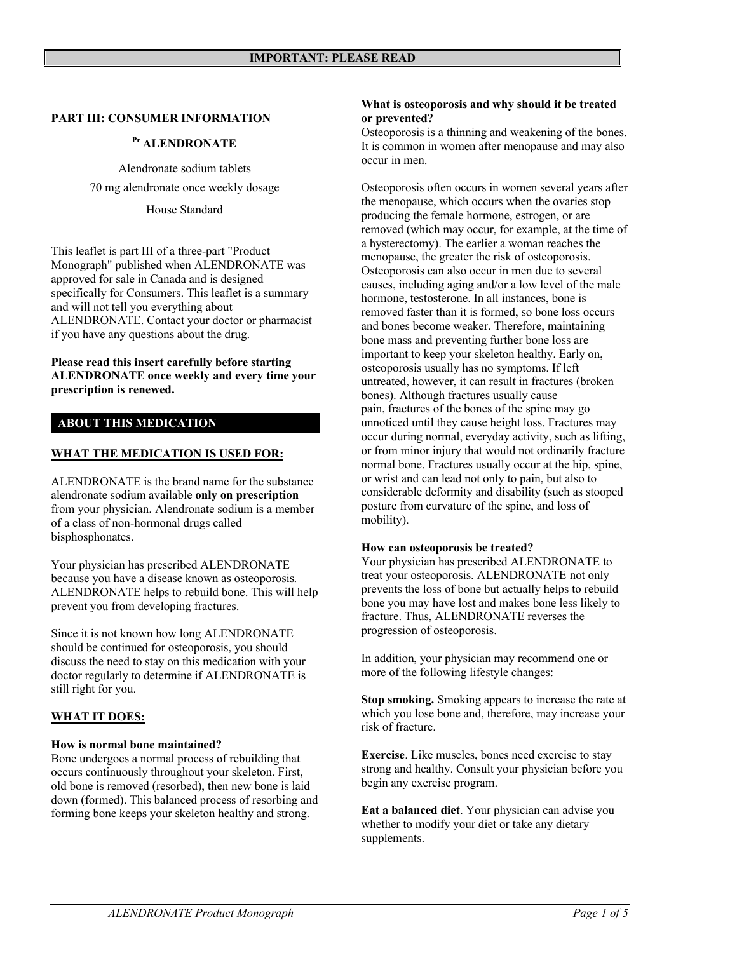#### **PART III: CONSUMER INFORMATION**

## **Pr ALENDRONATE**

Alendronate sodium tablets 70 mg alendronate once weekly dosage

House Standard

This leaflet is part III of a three-part "Product Monograph" published when ALENDRONATE was approved for sale in Canada and is designed specifically for Consumers. This leaflet is a summary and will not tell you everything about ALENDRONATE. Contact your doctor or pharmacist if you have any questions about the drug.

#### **Please read this insert carefully before starting ALENDRONATE once weekly and every time your prescription is renewed.**

## **ABOUT THIS MEDICATION**

### **WHAT THE MEDICATION IS USED FOR:**

ALENDRONATE is the brand name for the substance alendronate sodium available **only on prescription**  from your physician. Alendronate sodium is a member of a class of non-hormonal drugs called bisphosphonates.

Your physician has prescribed ALENDRONATE because you have a disease known as osteoporosis. ALENDRONATE helps to rebuild bone. This will help prevent you from developing fractures.

Since it is not known how long ALENDRONATE should be continued for osteoporosis, you should discuss the need to stay on this medication with your doctor regularly to determine if ALENDRONATE is still right for you.

### **WHAT IT DOES:**

### **How is normal bone maintained?**

Bone undergoes a normal process of rebuilding that occurs continuously throughout your skeleton. First, old bone is removed (resorbed), then new bone is laid down (formed). This balanced process of resorbing and forming bone keeps your skeleton healthy and strong.

#### **What is osteoporosis and why should it be treated or prevented?**

Osteoporosis is a thinning and weakening of the bones. It is common in women after menopause and may also occur in men.

Osteoporosis often occurs in women several years after the menopause, which occurs when the ovaries stop producing the female hormone, estrogen, or are removed (which may occur, for example, at the time of a hysterectomy). The earlier a woman reaches the menopause, the greater the risk of osteoporosis. Osteoporosis can also occur in men due to several causes, including aging and/or a low level of the male hormone, testosterone. In all instances, bone is removed faster than it is formed, so bone loss occurs and bones become weaker. Therefore, maintaining bone mass and preventing further bone loss are important to keep your skeleton healthy. Early on, osteoporosis usually has no symptoms. If left untreated, however, it can result in fractures (broken bones). Although fractures usually cause pain, fractures of the bones of the spine may go unnoticed until they cause height loss. Fractures may occur during normal, everyday activity, such as lifting, or from minor injury that would not ordinarily fracture normal bone. Fractures usually occur at the hip, spine, or wrist and can lead not only to pain, but also to considerable deformity and disability (such as stooped posture from curvature of the spine, and loss of mobility).

#### **How can osteoporosis be treated?**

Your physician has prescribed ALENDRONATE to treat your osteoporosis. ALENDRONATE not only prevents the loss of bone but actually helps to rebuild bone you may have lost and makes bone less likely to fracture. Thus, ALENDRONATE reverses the progression of osteoporosis.

In addition, your physician may recommend one or more of the following lifestyle changes:

**Stop smoking.** Smoking appears to increase the rate at which you lose bone and, therefore, may increase your risk of fracture.

**Exercise**. Like muscles, bones need exercise to stay strong and healthy. Consult your physician before you begin any exercise program.

**Eat a balanced diet**. Your physician can advise you whether to modify your diet or take any dietary supplements.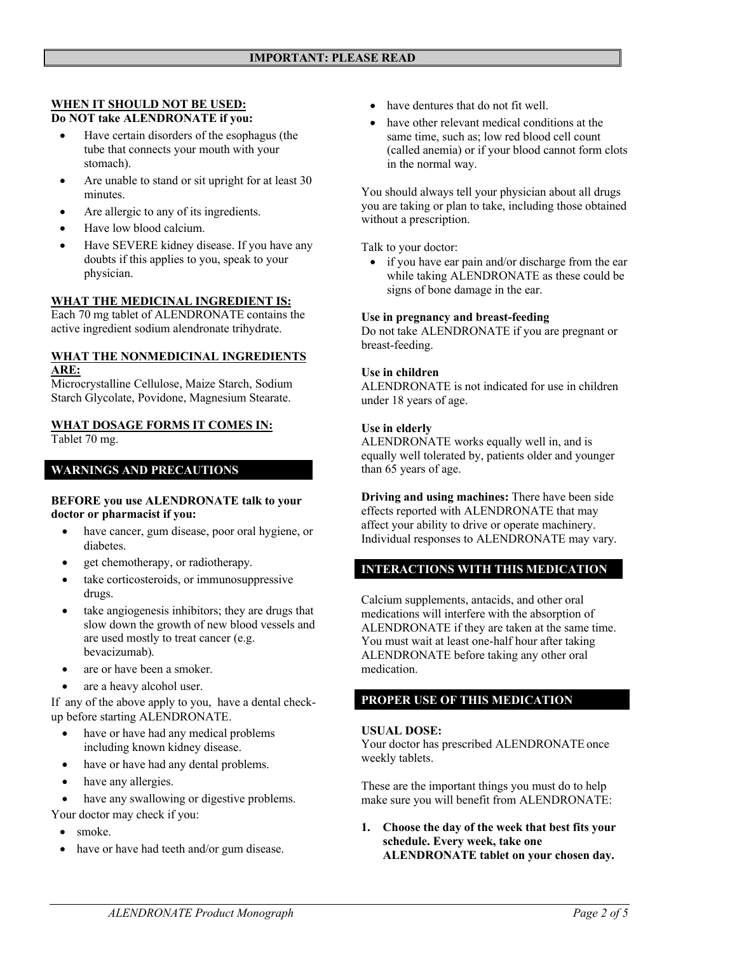### **WHEN IT SHOULD NOT BE USED: Do NOT take ALENDRONATE if you:**

- Have certain disorders of the esophagus (the tube that connects your mouth with your stomach).
- Are unable to stand or sit upright for at least 30 minutes.
- Are allergic to any of its ingredients.
- Have low blood calcium.
- Have SEVERE kidney disease. If you have any doubts if this applies to you, speak to your physician.

### **WHAT THE MEDICINAL INGREDIENT IS:**

Each 70 mg tablet of ALENDRONATE contains the active ingredient sodium alendronate trihydrate.

#### **WHAT THE NONMEDICINAL INGREDIENTS ARE:**

Microcrystalline Cellulose, Maize Starch, Sodium Starch Glycolate, Povidone, Magnesium Stearate.

#### **WHAT DOSAGE FORMS IT COMES IN:** Tablet 70 mg.

# **WARNINGS AND PRECAUTIONS**

#### **BEFORE you use ALENDRONATE talk to your doctor or pharmacist if you:**

- have cancer, gum disease, poor oral hygiene, or diabetes.
- get chemotherapy, or radiotherapy.
- take corticosteroids, or immunosuppressive drugs.
- take angiogenesis inhibitors; they are drugs that slow down the growth of new blood vessels and are used mostly to treat cancer (e.g. bevacizumab).
- are or have been a smoker.
- are a heavy alcohol user.

If any of the above apply to you, have a dental checkup before starting ALENDRONATE.

- have or have had any medical problems including known kidney disease.
- have or have had any dental problems.
- have any allergies.
- have any swallowing or digestive problems.

Your doctor may check if you:

- smoke.
- have or have had teeth and/or gum disease.
- have dentures that do not fit well.
- have other relevant medical conditions at the same time, such as; low red blood cell count (called anemia) or if your blood cannot form clots in the normal way.

You should always tell your physician about all drugs you are taking or plan to take, including those obtained without a prescription.

Talk to your doctor:

 if you have ear pain and/or discharge from the ear while taking ALENDRONATE as these could be signs of bone damage in the ear.

#### **Use in pregnancy and breast-feeding**

Do not take ALENDRONATE if you are pregnant or breast-feeding.

### **Use in children**

ALENDRONATE is not indicated for use in children under 18 years of age.

#### **Use in elderly**

ALENDRONATE works equally well in, and is equally well tolerated by, patients older and younger than 65 years of age.

**Driving and using machines:** There have been side effects reported with ALENDRONATE that may affect your ability to drive or operate machinery. Individual responses to ALENDRONATE may vary.

## **INTERACTIONS WITH THIS MEDICATION**

Calcium supplements, antacids, and other oral medications will interfere with the absorption of ALENDRONATE if they are taken at the same time. You must wait at least one-half hour after taking ALENDRONATE before taking any other oral medication.

### **PROPER USE OF THIS MEDICATION**

### **USUAL DOSE:**

Your doctor has prescribed ALENDRONATE once weekly tablets.

These are the important things you must do to help make sure you will benefit from ALENDRONATE:

**1. Choose the day of the week that best fits your schedule. Every week, take one ALENDRONATE tablet on your chosen day.**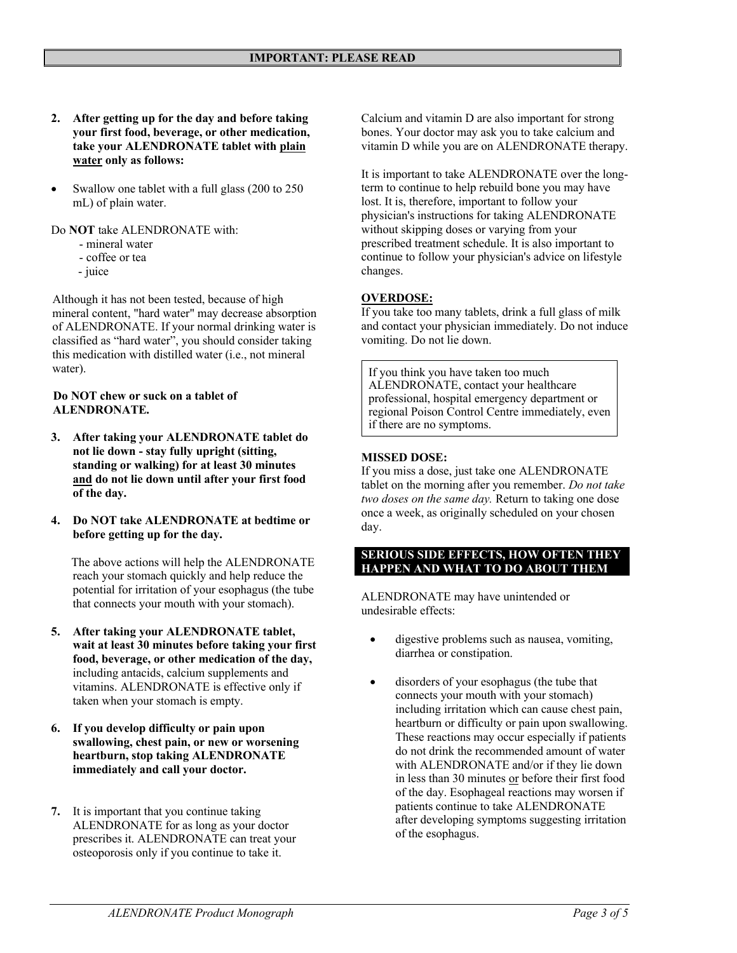- **2. After getting up for the day and before taking your first food, beverage, or other medication, take your ALENDRONATE tablet with plain water only as follows:**
- Swallow one tablet with a full glass (200 to 250 mL) of plain water.

Do **NOT** take ALENDRONATE with:

- mineral water
- coffee or tea
- juice

 Although it has not been tested, because of high mineral content, "hard water" may decrease absorption of ALENDRONATE. If your normal drinking water is classified as "hard water", you should consider taking this medication with distilled water (i.e., not mineral water).

#### **Do NOT chew or suck on a tablet of ALENDRONATE.**

- **3. After taking your ALENDRONATE tablet do not lie down - stay fully upright (sitting, standing or walking) for at least 30 minutes and do not lie down until after your first food of the day.**
- **4. Do NOT take ALENDRONATE at bedtime or before getting up for the day.**

The above actions will help the ALENDRONATE reach your stomach quickly and help reduce the potential for irritation of your esophagus (the tube that connects your mouth with your stomach).

- **5. After taking your ALENDRONATE tablet, wait at least 30 minutes before taking your first food, beverage, or other medication of the day,**  including antacids, calcium supplements and vitamins. ALENDRONATE is effective only if taken when your stomach is empty.
- **6. If you develop difficulty or pain upon swallowing, chest pain, or new or worsening heartburn, stop taking ALENDRONATE immediately and call your doctor.**
- **7.** It is important that you continue taking ALENDRONATE for as long as your doctor prescribes it. ALENDRONATE can treat your osteoporosis only if you continue to take it.

Calcium and vitamin D are also important for strong bones. Your doctor may ask you to take calcium and vitamin D while you are on ALENDRONATE therapy.

It is important to take ALENDRONATE over the longterm to continue to help rebuild bone you may have lost. It is, therefore, important to follow your physician's instructions for taking ALENDRONATE without skipping doses or varying from your prescribed treatment schedule. It is also important to continue to follow your physician's advice on lifestyle changes.

## **OVERDOSE:**

If you take too many tablets, drink a full glass of milk and contact your physician immediately. Do not induce vomiting. Do not lie down.

If you think you have taken too much ALENDRONATE, contact your healthcare professional, hospital emergency department or regional Poison Control Centre immediately, even if there are no symptoms.

### **MISSED DOSE:**

If you miss a dose, just take one ALENDRONATE tablet on the morning after you remember. *Do not take two doses on the same day.* Return to taking one dose once a week, as originally scheduled on your chosen day.

### **SERIOUS SIDE EFFECTS, HOW OFTEN THEY HAPPEN AND WHAT TO DO ABOUT THEM**

ALENDRONATE may have unintended or undesirable effects:

- digestive problems such as nausea, vomiting, diarrhea or constipation.
- disorders of your esophagus (the tube that connects your mouth with your stomach) including irritation which can cause chest pain, heartburn or difficulty or pain upon swallowing. These reactions may occur especially if patients do not drink the recommended amount of water with ALENDRONATE and/or if they lie down in less than 30 minutes or before their first food of the day. Esophageal reactions may worsen if patients continue to take ALENDRONATE after developing symptoms suggesting irritation of the esophagus.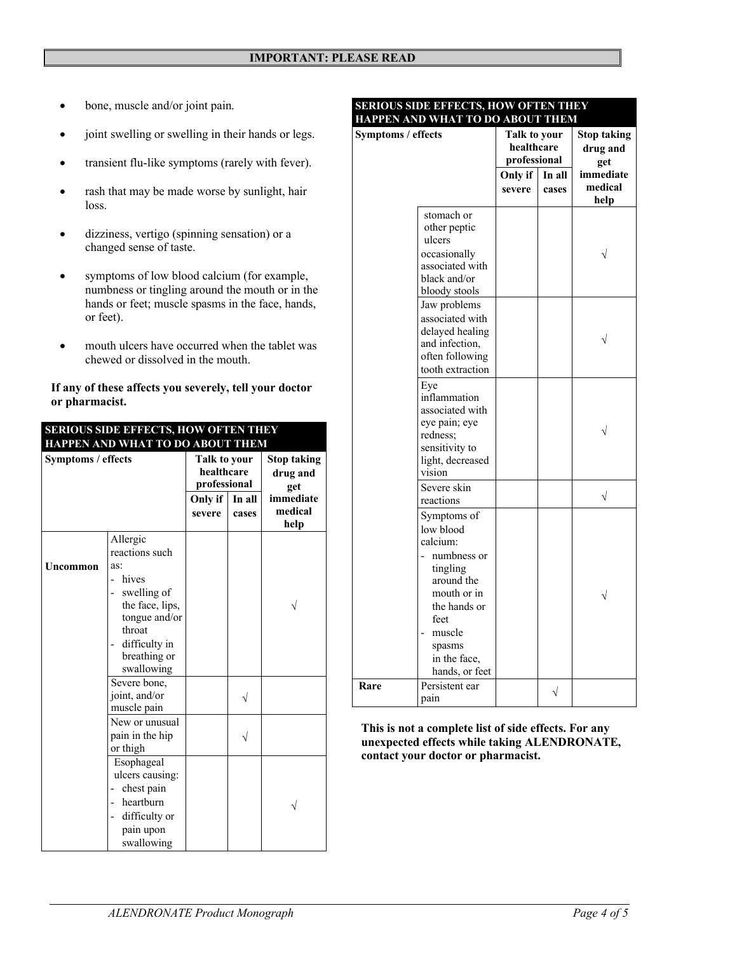- bone, muscle and/or joint pain.
- joint swelling or swelling in their hands or legs.
- transient flu-like symptoms (rarely with fever).
- rash that may be made worse by sunlight, hair loss.
- dizziness, vertigo (spinning sensation) or a changed sense of taste.
- symptoms of low blood calcium (for example, numbness or tingling around the mouth or in the hands or feet; muscle spasms in the face, hands, or feet).
- mouth ulcers have occurred when the tablet was chewed or dissolved in the mouth.

#### **If any of these affects you severely, tell your doctor or pharmacist.**

| <b>SERIOUS SIDE EFFECTS, HOW OFTEN THEY</b>            |                                                                                                                                                             |                                                                                    |  |                                                                       |  |  |
|--------------------------------------------------------|-------------------------------------------------------------------------------------------------------------------------------------------------------------|------------------------------------------------------------------------------------|--|-----------------------------------------------------------------------|--|--|
| HAPPEN AND WHAT TO DO ABOUT THEM<br>Symptoms / effects |                                                                                                                                                             | Talk to your<br>healthcare<br>professional<br>In all<br>Only if<br>severe<br>cases |  | <b>Stop taking</b><br>drug and<br>get<br>immediate<br>medical<br>help |  |  |
| Uncommon                                               | Allergic<br>reactions such<br>as:<br>hives<br>swelling of<br>the face, lips,<br>tongue and/or<br>throat<br>difficulty in<br>-<br>breathing or<br>swallowing |                                                                                    |  |                                                                       |  |  |
|                                                        | Severe bone,<br>joint, and/or<br>muscle pain<br>New or unusual<br>pain in the hip                                                                           |                                                                                    |  |                                                                       |  |  |
|                                                        | or thigh<br>Esophageal<br>ulcers causing:<br>chest pain<br>hearthurn<br>difficulty or<br>pain upon<br>swallowing                                            |                                                                                    |  |                                                                       |  |  |

#### **SERIOUS SIDE EFFECTS, HOW OFTEN THEY HAPPEN AND WHAT TO DO ABOUT THEM**

| Symptoms / effects |                                                                                                                                                                            | Talk to your<br>healthcare<br>professional |                 | <b>Stop taking</b><br>drug and<br>get |
|--------------------|----------------------------------------------------------------------------------------------------------------------------------------------------------------------------|--------------------------------------------|-----------------|---------------------------------------|
|                    |                                                                                                                                                                            | Only if<br>severe                          | In all<br>cases | immediate<br>medical<br>help          |
|                    | stomach or<br>other peptic<br>ulcers<br>occasionally<br>associated with<br>black and/or<br>bloody stools                                                                   |                                            |                 |                                       |
|                    | Jaw problems<br>associated with<br>delayed healing<br>and infection,<br>often following<br>tooth extraction                                                                |                                            |                 |                                       |
|                    | Eye<br>inflammation<br>associated with<br>eye pain; eye<br>redness;<br>sensitivity to<br>light, decreased<br>vision                                                        |                                            |                 |                                       |
|                    | Severe skin<br>reactions                                                                                                                                                   |                                            |                 | $\sqrt{}$                             |
|                    | Symptoms of<br>low blood<br>calcium:<br>numbness or<br>tingling<br>around the<br>mouth or in<br>the hands or<br>feet<br>muscle<br>spasms<br>in the face,<br>hands, or feet |                                            |                 |                                       |
| Rare               | Persistent ear<br>pain                                                                                                                                                     |                                            |                 |                                       |

**This is not a complete list of side effects. For any unexpected effects while taking ALENDRONATE, contact your doctor or pharmacist.**